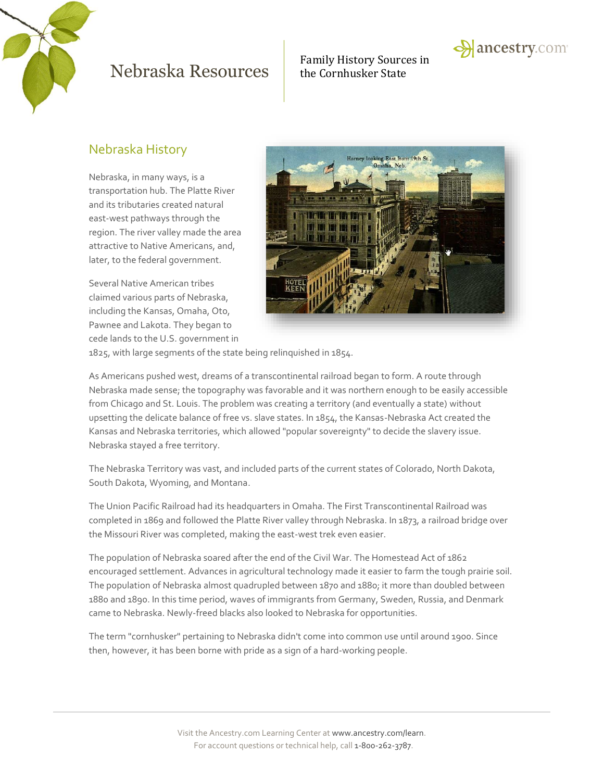

Family History Sources in



## Nebraska History

Nebraska, in many ways, is a transportation hub. The Platte River and its tributaries created natural east-west pathways through the region. The river valley made the area attractive to Native Americans, and, later, to the federal government.

Several Native American tribes claimed various parts of Nebraska, including the Kansas, Omaha, Oto, Pawnee and Lakota. They began to cede lands to the U.S. government in



1825, with large segments of the state being relinquished in 1854.

As Americans pushed west, dreams of a transcontinental railroad began to form. A route through Nebraska made sense; the topography was favorable and it was northern enough to be easily accessible from Chicago and St. Louis. The problem was creating a territory (and eventually a state) without upsetting the delicate balance of free vs. slave states. In 1854, the Kansas-Nebraska Act created the Kansas and Nebraska territories, which allowed "popular sovereignty" to decide the slavery issue. Nebraska stayed a free territory.

The Nebraska Territory was vast, and included parts of the current states of Colorado, North Dakota, South Dakota, Wyoming, and Montana.

The Union Pacific Railroad had its headquarters in Omaha. The First Transcontinental Railroad was completed in 1869 and followed the Platte River valley through Nebraska. In 1873, a railroad bridge over the Missouri River was completed, making the east-west trek even easier.

The population of Nebraska soared after the end of the Civil War. The Homestead Act of 1862 encouraged settlement. Advances in agricultural technology made it easier to farm the tough prairie soil. The population of Nebraska almost quadrupled between 1870 and 1880; it more than doubled between 1880 and 1890. In this time period, waves of immigrants from Germany, Sweden, Russia, and Denmark came to Nebraska. Newly-freed blacks also looked to Nebraska for opportunities.

The term "cornhusker" pertaining to Nebraska didn't come into common use until around 1900. Since then, however, it has been borne with pride as a sign of a hard-working people.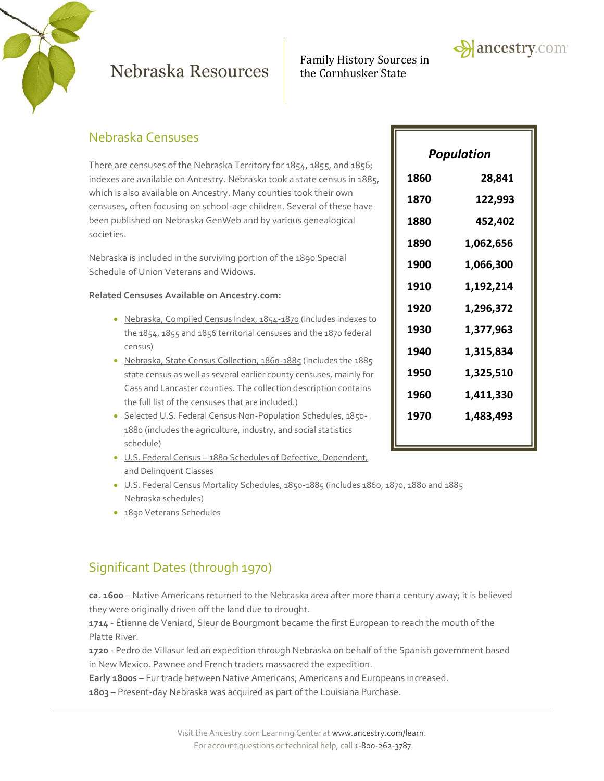

Family History Sources in



There are censuses of the Nebraska Territory for 1854, 1855, and 1856; indexes are available on Ancestry. Nebraska took a state census in 1885, which is also available on Ancestry. Many counties took their own censuses, often focusing on school-age children. Several of these have been published on Nebraska GenWeb and by various genealogical societies.

Nebraska is included in the surviving portion of the 1890 Special Schedule of Union Veterans and Widows.

### **Related Censuses Available on Ancestry.com:**

- [Nebraska, Compiled Census Index, 1854-1870](http://search.ancestry.com/search/db.aspx?dbid=3559) (includes indexes to the 1854, 1855 and 1856 territorial censuses and the 1870 federal census)
- [Nebraska, State Census Collection, 1860-1885](http://search.ancestry.com/search/db.aspx?dbid=1668) (includes the 1885 state census as well as several earlier county censuses, mainly for Cass and Lancaster counties. The collection description contains the full list of the censuses that are included.)
- [Selected U.S. Federal Census Non-Population Schedules, 1850-](http://search.ancestry.com/search/db.aspx?dbid=1276) [1880](http://search.ancestry.com/search/db.aspx?dbid=1276) (includes the agriculture, industry, and social statistics schedule)
- U.S. Federal Census [1880 Schedules of Defective, Dependent,](http://search.ancestry.com/search/db.aspx?dbid=1634)  [and Delinquent Classes](http://search.ancestry.com/search/db.aspx?dbid=1634)
- [U.S. Federal Census Mortality Schedules, 1850-1885](http://search.ancestry.com/search/db.aspx?dbid=8756) (includes 1860, 1870, 1880 and 1885 Nebraska schedules)
- [1890 Veterans Schedules](http://search.ancestry.com/search/db.aspx?dbid=8667)

## Significant Dates (through 1970)

**ca. 1600** – Native Americans returned to the Nebraska area after more than a century away; it is believed they were originally driven off the land due to drought.

**1714** - Étienne de Veniard, Sieur de Bourgmont became the first European to reach the mouth of the Platte River.

**1720** - Pedro de Villasur led an expedition through Nebraska on behalf of the Spanish government based in New Mexico. Pawnee and French traders massacred the expedition.

**Early 1800s** – Fur trade between Native Americans, Americans and Europeans increased.

**1803** – Present-day Nebraska was acquired as part of the Louisiana Purchase.

| <b>Population</b> |           |
|-------------------|-----------|
| 1860              | 28,841    |
| 1870              | 122,993   |
| 1880              | 452,402   |
| 1890              | 1,062,656 |
| 1900              | 1,066,300 |
| 1910              | 1,192,214 |
| 1920              | 1,296,372 |
| 1930              | 1,377,963 |
| 1940              | 1,315,834 |
| 1950              | 1,325,510 |
| 1960              | 1,411,330 |
| 1970              | 1,483,493 |
|                   |           |

 $\rightarrow$  ancestry.com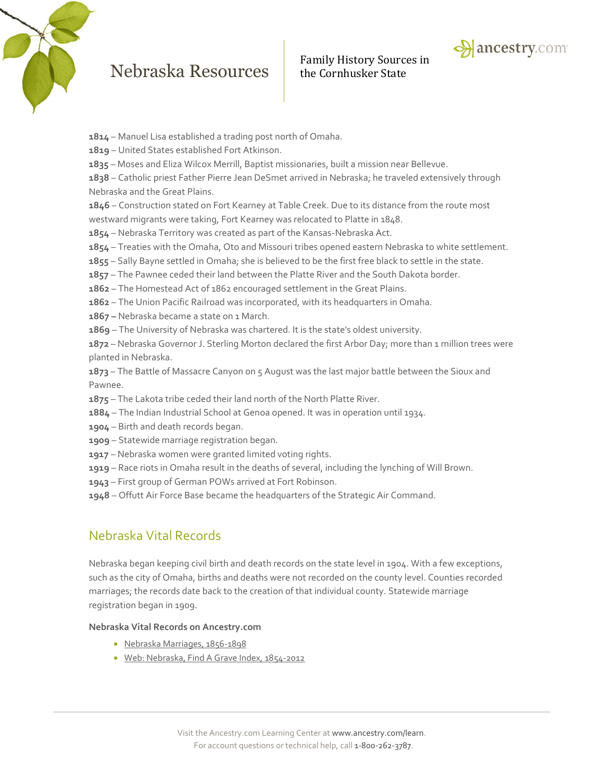



- **1814** Manuel Lisa established a trading post north of Omaha.
- **1819** United States established Fort Atkinson.
- **1835** Moses and Eliza Wilcox Merrill, Baptist missionaries, built a mission near Bellevue.
- **1838** Catholic priest Father Pierre Jean DeSmet arrived in Nebraska; he traveled extensively through Nebraska and the Great Plains.

**1846** – Construction stated on Fort Kearney at Table Creek. Due to its distance from the route most westward migrants were taking, Fort Kearney was relocated to Platte in 1848.

- **1854**  Nebraska Territory was created as part of the Kansas-Nebraska Act.
- **1854** Treaties with the Omaha, Oto and Missouri tribes opened eastern Nebraska to white settlement.
- **1855** Sally Bayne settled in Omaha; she is believed to be the first free black to settle in the state.
- **1857** The Pawnee ceded their land between the Platte River and the South Dakota border.
- **1862** The Homestead Act of 1862 encouraged settlement in the Great Plains.
- **1862** The Union Pacific Railroad was incorporated, with its headquarters in Omaha.
- **1867 –** Nebraska became a state on 1 March.
- **1869** The University of Nebraska was chartered. It is the state's oldest university.

**1872** – Nebraska Governor J. Sterling Morton declared the first Arbor Day; more than 1 million trees were planted in Nebraska.

**1873** – The Battle of Massacre Canyon on 5 August was the last major battle between the Sioux and Pawnee.

- **1875** The Lakota tribe ceded their land north of the North Platte River.
- **1884** The Indian Industrial School at Genoa opened. It was in operation until 1934.
- **1904** Birth and death records began.
- **1909** Statewide marriage registration began.
- **1917** Nebraska women were granted limited voting rights.
- **1919** Race riots in Omaha result in the deaths of several, including the lynching of Will Brown.
- **1943** First group of German POWs arrived at Fort Robinson.
- **1948** Offutt Air Force Base became the headquarters of the Strategic Air Command.

### Nebraska Vital Records

Nebraska began keeping civil birth and death records on the state level in 1904. With a few exceptions, such as the city of Omaha, births and deaths were not recorded on the county level. Counties recorded marriages; the records date back to the creation of that individual county. Statewide marriage registration began in 1909.

#### **Nebraska Vital Records on Ancestry.com**

- [Nebraska Marriages, 1856-1898](http://search.ancestry.com/search/db.aspx?dbid=7871)
- [Web: Nebraska, Find A Grave Index, 1854-2012](http://search.ancestry.com/search/db.aspx?dbid=70616)